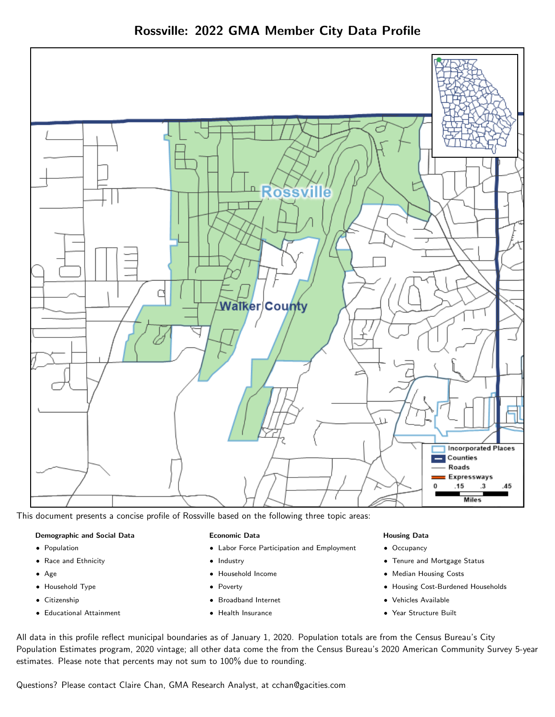

Rossville: 2022 GMA Member City Data Profile

This document presents a concise profile of Rossville based on the following three topic areas:

#### Demographic and Social Data

- **•** Population
- Race and Ethnicity
- Age
- Household Type
- **Citizenship**
- Educational Attainment

#### Economic Data

- Labor Force Participation and Employment
- Industry
- Household Income
- Poverty
- Broadband Internet
- Health Insurance

#### Housing Data

- Occupancy
- Tenure and Mortgage Status
- Median Housing Costs
- Housing Cost-Burdened Households
- Vehicles Available
- Year Structure Built

All data in this profile reflect municipal boundaries as of January 1, 2020. Population totals are from the Census Bureau's City Population Estimates program, 2020 vintage; all other data come the from the Census Bureau's 2020 American Community Survey 5-year estimates. Please note that percents may not sum to 100% due to rounding.

Questions? Please contact Claire Chan, GMA Research Analyst, at [cchan@gacities.com.](mailto:cchan@gacities.com)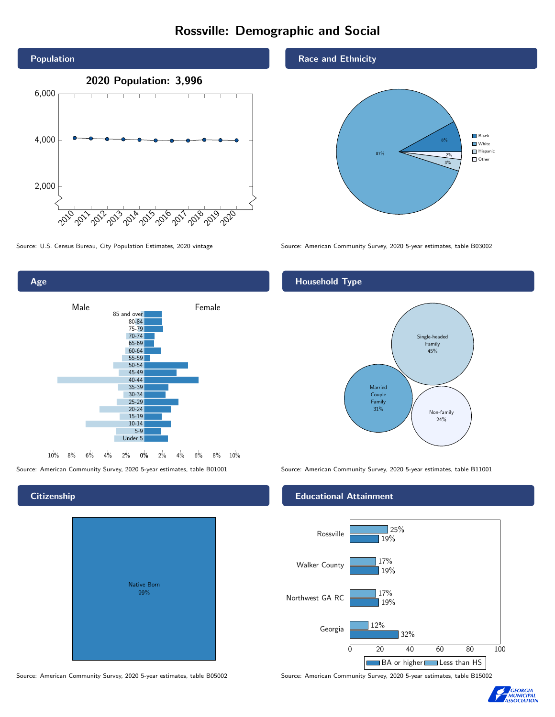## Rossville: Demographic and Social





Age



#### **Citizenship**

| <b>Native Born</b><br>99% |  |
|---------------------------|--|
|                           |  |

Source: American Community Survey, 2020 5-year estimates, table B05002 Source: American Community Survey, 2020 5-year estimates, table B15002

Race and Ethnicity



#### Household Type



Source: American Community Survey, 2020 5-year estimates, table B01001 Source: American Community Survey, 2020 5-year estimates, table B11001

#### Educational Attainment



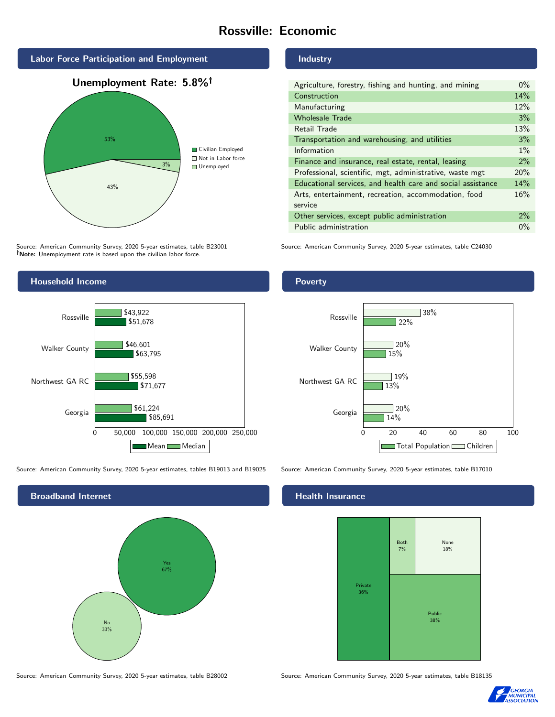## Rossville: Economic



Source: American Community Survey, 2020 5-year estimates, table B23001 Note: Unemployment rate is based upon the civilian labor force.

#### Industry

| Agriculture, forestry, fishing and hunting, and mining      | $0\%$ |
|-------------------------------------------------------------|-------|
| Construction                                                | 14%   |
| Manufacturing                                               | 12%   |
| <b>Wholesale Trade</b>                                      | 3%    |
| Retail Trade                                                | 13%   |
| Transportation and warehousing, and utilities               | 3%    |
| Information                                                 | $1\%$ |
| Finance and insurance, real estate, rental, leasing         | $2\%$ |
| Professional, scientific, mgt, administrative, waste mgt    | 20%   |
| Educational services, and health care and social assistance |       |
| Arts, entertainment, recreation, accommodation, food        | 16%   |
| service                                                     |       |
| Other services, except public administration                | $2\%$ |
| Public administration                                       | $0\%$ |

Source: American Community Survey, 2020 5-year estimates, table C24030



Source: American Community Survey, 2020 5-year estimates, tables B19013 and B19025 Source: American Community Survey, 2020 5-year estimates, table B17010



Poverty



#### Health Insurance



Source: American Community Survey, 2020 5-year estimates, table B28002 Source: American Community Survey, 2020 5-year estimates, table B18135